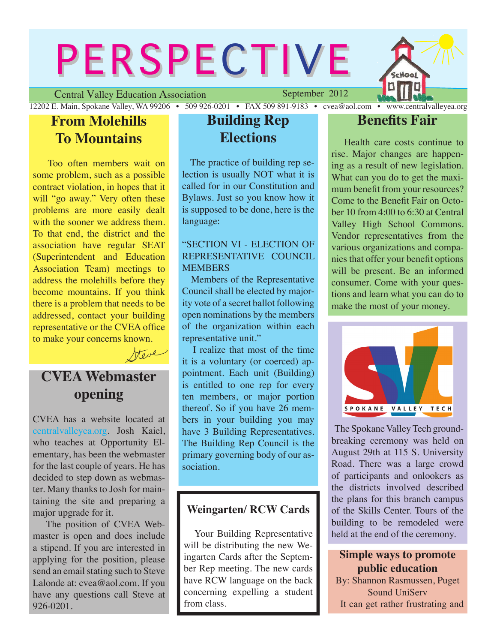# **PERSPECTIVE**

Central Valley Education Association

September 2012

**Hool** 

#### 12202 E. Main, Spokane Valley, WA 99206 • 509 926-0201 • FAX 509 891-9183 • cvea@aol.com • www.centralvalleyea.org **From Molehills**

# **To Mountains**

 Too often members wait on some problem, such as a possible contract violation, in hopes that it will "go away." Very often these problems are more easily dealt with the sooner we address them. To that end, the district and the association have regular SEAT (Superintendent and Education Association Team) meetings to address the molehills before they become mountains. If you think there is a problem that needs to be addressed, contact your building representative or the CVEA office to make your concerns known.

# **CVEA Webmaster opening**

Steve

CVEA has a website located at centralvalleyea.org. Josh Kaiel, who teaches at Opportunity Elementary, has been the webmaster for the last couple of years. He has decided to step down as webmaster. Many thanks to Josh for maintaining the site and preparing a major upgrade for it.

 The position of CVEA Webmaster is open and does include a stipend. If you are interested in applying for the position, please send an email stating such to Steve Lalonde at: cvea@aol.com. If you have any questions call Steve at 926-0201.

# **Building Rep Elections**

 The practice of building rep selection is usually NOT what it is called for in our Constitution and Bylaws. Just so you know how it is supposed to be done, here is the language:

#### "SECTION VI - ELECTION OF REPRESENTATIVE COUNCIL **MEMBERS**

 Members of the Representative Council shall be elected by majority vote of a secret ballot following open nominations by the members of the organization within each representative unit."

 I realize that most of the time it is a voluntary (or coerced) appointment. Each unit (Building) is entitled to one rep for every ten members, or major portion thereof. So if you have 26 members in your building you may have 3 Building Representatives. The Building Rep Council is the primary governing body of our association.

### **Weingarten/ RCW Cards**

 Your Building Representative will be distributing the new Weingarten Cards after the September Rep meeting. The new cards have RCW language on the back concerning expelling a student from class.

## **Benefits Fair**

 Health care costs continue to rise. Major changes are happening as a result of new legislation. What can you do to get the maximum benefit from your resources? Come to the Benefit Fair on October 10 from 4:00 to 6:30 at Central Valley High School Commons. Vendor representatives from the various organizations and companies that offer your benefit options will be present. Be an informed consumer. Come with your questions and learn what you can do to make the most of your money.



 The Spokane Valley Tech groundbreaking ceremony was held on August 29th at 115 S. University Road. There was a large crowd of participants and onlookers as the districts involved described the plans for this branch campus of the Skills Center. Tours of the building to be remodeled were held at the end of the ceremony.

#### **Simple ways to promote public education**

By: Shannon Rasmussen, Puget Sound UniServ It can get rather frustrating and